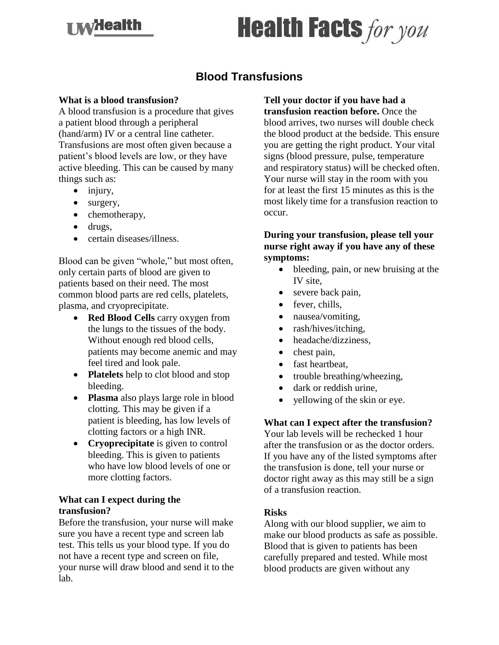## **I My Health**

# **Health Facts for you**

### **Blood Transfusions**

#### **What is a blood transfusion?**

A blood transfusion is a procedure that gives a patient blood through a peripheral (hand/arm) IV or a central line catheter. Transfusions are most often given because a patient's blood levels are low, or they have active bleeding. This can be caused by many things such as:

- injury,
- surgery,
- chemotherapy,
- drugs,
- certain diseases/illness.

Blood can be given "whole," but most often, only certain parts of blood are given to patients based on their need. The most common blood parts are red cells, platelets, plasma, and cryoprecipitate.

- **Red Blood Cells** carry oxygen from the lungs to the tissues of the body. Without enough red blood cells, patients may become anemic and may feel tired and look pale.
- **Platelets** help to clot blood and stop bleeding.
- **Plasma** also plays large role in blood clotting. This may be given if a patient is bleeding, has low levels of clotting factors or a high INR.
- **Cryoprecipitate** is given to control bleeding. This is given to patients who have low blood levels of one or more clotting factors.

#### **What can I expect during the transfusion?**

Before the transfusion, your nurse will make sure you have a recent type and screen lab test. This tells us your blood type. If you do not have a recent type and screen on file, your nurse will draw blood and send it to the lab.

**Tell your doctor if you have had a transfusion reaction before.** Once the blood arrives, two nurses will double check the blood product at the bedside. This ensure you are getting the right product. Your vital signs (blood pressure, pulse, temperature and respiratory status) will be checked often. Your nurse will stay in the room with you for at least the first 15 minutes as this is the most likely time for a transfusion reaction to occur.

#### **During your transfusion, please tell your nurse right away if you have any of these symptoms:**

- bleeding, pain, or new bruising at the IV site,
- severe back pain,
- fever, chills,
- nausea/vomiting,
- rash/hives/itching,
- headache/dizziness,
- chest pain,
- fast heartbeat,
- trouble breathing/wheezing,
- dark or reddish urine,
- vellowing of the skin or eye.

#### **What can I expect after the transfusion?**

Your lab levels will be rechecked 1 hour after the transfusion or as the doctor orders. If you have any of the listed symptoms after the transfusion is done, tell your nurse or doctor right away as this may still be a sign of a transfusion reaction.

#### **Risks**

Along with our blood supplier, we aim to make our blood products as safe as possible. Blood that is given to patients has been carefully prepared and tested. While most blood products are given without any